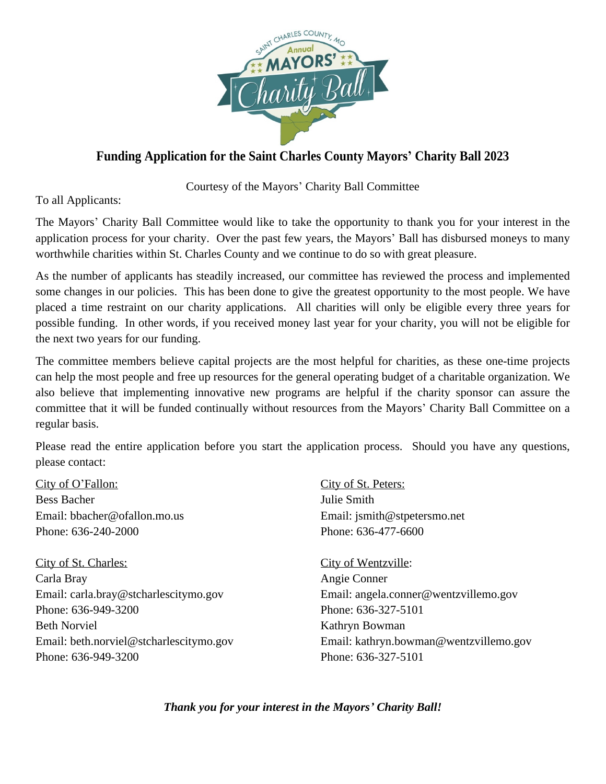

## **Funding Application for the Saint Charles County Mayors' Charity Ball 2023**

Courtesy of the Mayors' Charity Ball Committee

To all Applicants:

The Mayors' Charity Ball Committee would like to take the opportunity to thank you for your interest in the application process for your charity. Over the past few years, the Mayors' Ball has disbursed moneys to many worthwhile charities within St. Charles County and we continue to do so with great pleasure.

As the number of applicants has steadily increased, our committee has reviewed the process and implemented some changes in our policies. This has been done to give the greatest opportunity to the most people. We have placed a time restraint on our charity applications. All charities will only be eligible every three years for possible funding. In other words, if you received money last year for your charity, you will not be eligible for the next two years for our funding.

The committee members believe capital projects are the most helpful for charities, as these one-time projects can help the most people and free up resources for the general operating budget of a charitable organization. We also believe that implementing innovative new programs are helpful if the charity sponsor can assure the committee that it will be funded continually without resources from the Mayors' Charity Ball Committee on a regular basis.

Please read the entire application before you start the application process. Should you have any questions, please contact:

City of O'Fallon: Bess Bacher Email: bbacher@ofallon.mo.us Phone: 636-240-2000

City of St. Charles: Carla Bray Email: carla.bray@stcharlescitymo.gov Phone: 636-949-3200 Beth Norviel Email: beth.norviel@stcharlescitymo.gov Phone: 636-949-3200

City of St. Peters: Julie Smith Email: jsmith@stpetersmo.net Phone: 636-477-6600

City of Wentzville: Angie Conner Email: angela.conner@wentzvillemo.gov Phone: 636-327-5101 Kathryn Bowman Email: kathryn.bowman@wentzvillemo.gov Phone: 636-327-5101

*Thank you for your interest in the Mayors' Charity Ball!*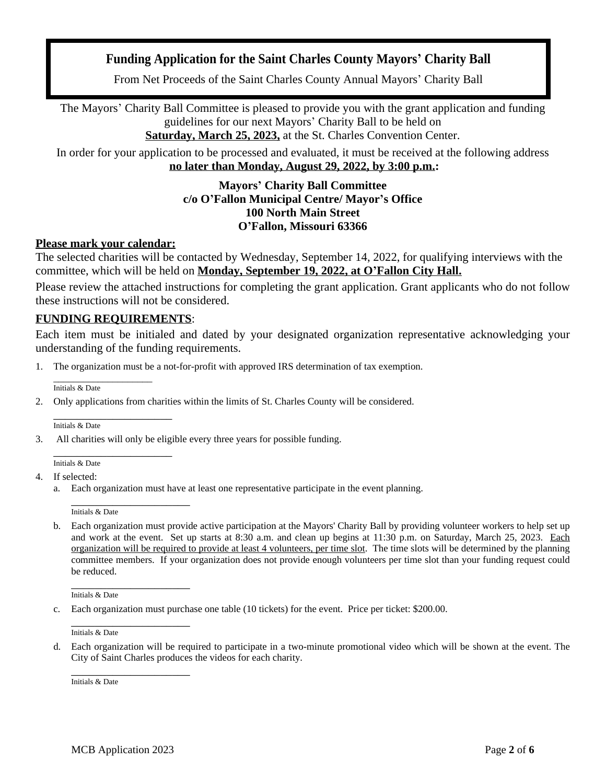### **Funding Application for the Saint Charles County Mayors' Charity Ball**

From Net Proceeds of the Saint Charles County Annual Mayors' Charity Ball

The Mayors' Charity Ball Committee is pleased to provide you with the grant application and funding guidelines for our next Mayors' Charity Ball to be held on **Saturday, March 25, 2023,** at the St. Charles Convention Center.

In order for your application to be processed and evaluated, it must be received at the following address **no later than Monday, August 29, 2022, by 3:00 p.m.:**

#### **Mayors' Charity Ball Committee c/o O'Fallon Municipal Centre/ Mayor's Office 100 North Main Street O'Fallon, Missouri 63366**

#### **Please mark your calendar:**

The selected charities will be contacted by Wednesday, September 14, 2022, for qualifying interviews with the committee, which will be held on **Monday, September 19, 2022, at O'Fallon City Hall.**

Please review the attached instructions for completing the grant application. Grant applicants who do not follow these instructions will not be considered.

#### **FUNDING REQUIREMENTS**:

Each item must be initialed and dated by your designated organization representative acknowledging your understanding of the funding requirements.

1. The organization must be a not-for-profit with approved IRS determination of tax exemption.

\_\_\_\_\_\_\_\_\_\_\_\_\_\_\_\_\_\_\_\_ Initials & Date

2. Only applications from charities within the limits of St. Charles County will be considered.

\_\_\_\_\_\_\_\_\_\_\_\_\_\_\_\_\_\_\_\_ Initials & Date

3. All charities will only be eligible every three years for possible funding.

\_\_\_\_\_\_\_\_\_\_\_\_\_\_\_\_\_\_\_\_ Initials & Date

4. If selected:

a. Each organization must have at least one representative participate in the event planning.

\_\_\_\_\_\_\_\_\_\_\_\_\_\_\_\_\_\_\_\_ Initials & Date

b. Each organization must provide active participation at the Mayors' Charity Ball by providing volunteer workers to help set up and work at the event. Set up starts at 8:30 a.m. and clean up begins at 11:30 p.m. on Saturday, March 25, 2023. Each organization will be required to provide at least 4 volunteers, per time slot. The time slots will be determined by the planning committee members. If your organization does not provide enough volunteers per time slot than your funding request could be reduced.

\_\_\_\_\_\_\_\_\_\_\_\_\_\_\_\_\_\_\_\_ Initials & Date

c. Each organization must purchase one table (10 tickets) for the event. Price per ticket: \$200.00.

\_\_\_\_\_\_\_\_\_\_\_\_\_\_\_\_\_\_\_\_ Initials & Date

d. Each organization will be required to participate in a two-minute promotional video which will be shown at the event. The City of Saint Charles produces the videos for each charity.

\_\_\_\_\_\_\_\_\_\_\_\_\_\_\_\_\_\_\_\_ Initials & Date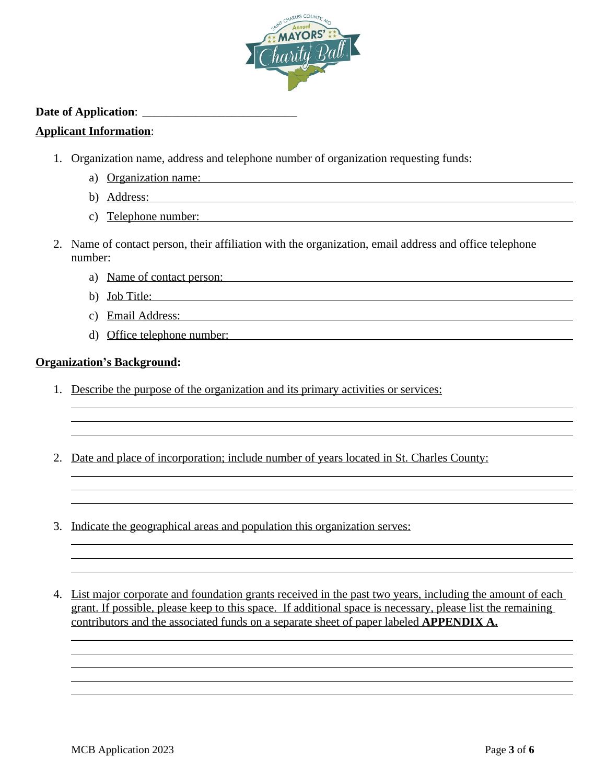

#### **Date of Application**: \_\_\_\_\_\_\_\_\_\_\_\_\_\_\_\_\_\_\_\_\_\_\_\_\_\_

#### **Applicant Information**:

- 1. Organization name, address and telephone number of organization requesting funds:
	- a) Organization name:
	- b) Address:
	- c) Telephone number:
- 2. Name of contact person, their affiliation with the organization, email address and office telephone number:
	- a) Name of contact person:
	- b) Job Title:
	- c) Email Address:
	- d) Office telephone number:

#### **Organization's Background:**

 $\overline{a}$  $\overline{a}$  $\overline{a}$ 

 $\overline{a}$  $\overline{a}$  $\overline{a}$ 

 $\overline{a}$  $\overline{a}$  $\overline{a}$ 

 $\overline{a}$  $\overline{a}$  $\overline{a}$  $\overline{a}$  $\overline{a}$ 

- 1. Describe the purpose of the organization and its primary activities or services:
- 2. Date and place of incorporation; include number of years located in St. Charles County:
- 3. Indicate the geographical areas and population this organization serves:

4. List major corporate and foundation grants received in the past two years, including the amount of each grant. If possible, please keep to this space. If additional space is necessary, please list the remaining contributors and the associated funds on a separate sheet of paper labeled **APPENDIX A.**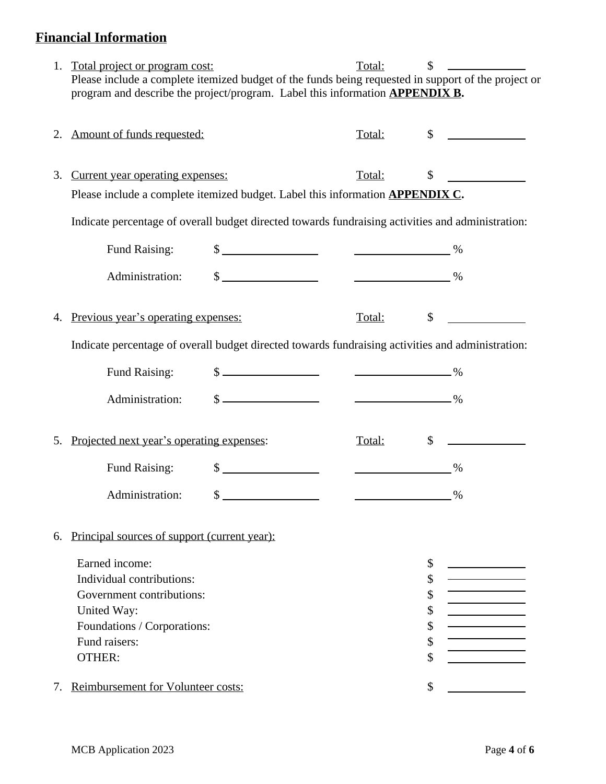# **Financial Information**

| 1. Total project or program cost:                                                                   | Total: | S |  |
|-----------------------------------------------------------------------------------------------------|--------|---|--|
| Please include a complete itemized budget of the funds being requested in support of the project or |        |   |  |
| program and describe the project/program. Label this information <b>APPENDIX B.</b>                 |        |   |  |

|                                                                                                   | Amount of funds requested:                                                                        |                                                                                                                                                                                                                                                                                                                                                                                                                                  | Total:                                    | \$            |  |
|---------------------------------------------------------------------------------------------------|---------------------------------------------------------------------------------------------------|----------------------------------------------------------------------------------------------------------------------------------------------------------------------------------------------------------------------------------------------------------------------------------------------------------------------------------------------------------------------------------------------------------------------------------|-------------------------------------------|---------------|--|
| 3.                                                                                                | Current year operating expenses:                                                                  |                                                                                                                                                                                                                                                                                                                                                                                                                                  | Total:                                    | \$            |  |
|                                                                                                   | Please include a complete itemized budget. Label this information <b>APPENDIX C.</b>              |                                                                                                                                                                                                                                                                                                                                                                                                                                  |                                           |               |  |
|                                                                                                   | Indicate percentage of overall budget directed towards fundraising activities and administration: |                                                                                                                                                                                                                                                                                                                                                                                                                                  |                                           |               |  |
|                                                                                                   | <b>Fund Raising:</b>                                                                              | $\frac{\text{S}}{\text{S}}$ $\frac{1}{\text{S}}$ $\frac{1}{\text{S}}$ $\frac{1}{\text{S}}$ $\frac{1}{\text{S}}$ $\frac{1}{\text{S}}$ $\frac{1}{\text{S}}$ $\frac{1}{\text{S}}$ $\frac{1}{\text{S}}$ $\frac{1}{\text{S}}$ $\frac{1}{\text{S}}$ $\frac{1}{\text{S}}$ $\frac{1}{\text{S}}$ $\frac{1}{\text{S}}$ $\frac{1}{\text{S}}$ $\frac{1}{\text{S}}$ $\frac{1}{\text{S}}$                                                      |                                           |               |  |
|                                                                                                   | Administration:                                                                                   | $\frac{\text{S}}{\text{S}}$ $\frac{\text{S}}{\text{S}}$ $\frac{\text{S}}{\text{S}}$ $\frac{\text{S}}{\text{S}}$ $\frac{\text{S}}{\text{S}}$ $\frac{\text{S}}{\text{S}}$ $\frac{\text{S}}{\text{S}}$ $\frac{\text{S}}{\text{S}}$ $\frac{\text{S}}{\text{S}}$ $\frac{\text{S}}{\text{S}}$ $\frac{\text{S}}{\text{S}}$ $\frac{\text{S}}{\text{S}}$ $\frac{\text{S}}{\text{S}}$ $\frac{\text{S}}{\text{S}}$ $\frac{\text{S}}{\text{$ |                                           |               |  |
| 4.                                                                                                | Previous year's operating expenses:                                                               |                                                                                                                                                                                                                                                                                                                                                                                                                                  | Total:                                    | $\mathsf{\$}$ |  |
| Indicate percentage of overall budget directed towards fundraising activities and administration: |                                                                                                   |                                                                                                                                                                                                                                                                                                                                                                                                                                  |                                           |               |  |
|                                                                                                   | <b>Fund Raising:</b>                                                                              | $\frac{1}{2}$ $\frac{1}{2}$ $\frac{1}{2}$ $\frac{1}{2}$ $\frac{1}{2}$ $\frac{1}{2}$ $\frac{1}{2}$ $\frac{1}{2}$ $\frac{1}{2}$ $\frac{1}{2}$ $\frac{1}{2}$ $\frac{1}{2}$ $\frac{1}{2}$ $\frac{1}{2}$ $\frac{1}{2}$ $\frac{1}{2}$ $\frac{1}{2}$ $\frac{1}{2}$ $\frac{1}{2}$ $\frac{1}{2}$ $\frac{1}{2}$ $\frac{1}{2}$                                                                                                              |                                           |               |  |
|                                                                                                   | Administration:                                                                                   |                                                                                                                                                                                                                                                                                                                                                                                                                                  |                                           |               |  |
| 5.                                                                                                | Projected next year's operating expenses:                                                         |                                                                                                                                                                                                                                                                                                                                                                                                                                  | Total:                                    | $\mathbb{S}$  |  |
|                                                                                                   | <b>Fund Raising:</b>                                                                              | $\frac{1}{2}$                                                                                                                                                                                                                                                                                                                                                                                                                    | $\sim$ $\sim$ $\sim$ $\sim$ $\sim$ $\sim$ |               |  |
|                                                                                                   | Administration:                                                                                   |                                                                                                                                                                                                                                                                                                                                                                                                                                  |                                           |               |  |
| 6.                                                                                                | Principal sources of support (current year):                                                      |                                                                                                                                                                                                                                                                                                                                                                                                                                  |                                           |               |  |
|                                                                                                   | Earned income:                                                                                    |                                                                                                                                                                                                                                                                                                                                                                                                                                  |                                           | \$            |  |
|                                                                                                   | Individual contributions:                                                                         |                                                                                                                                                                                                                                                                                                                                                                                                                                  |                                           | \$            |  |
|                                                                                                   | Government contributions:                                                                         |                                                                                                                                                                                                                                                                                                                                                                                                                                  |                                           | \$            |  |
|                                                                                                   | United Way:                                                                                       |                                                                                                                                                                                                                                                                                                                                                                                                                                  |                                           | \$            |  |
|                                                                                                   | Foundations / Corporations:                                                                       |                                                                                                                                                                                                                                                                                                                                                                                                                                  |                                           | \$            |  |
|                                                                                                   | Fund raisers:                                                                                     |                                                                                                                                                                                                                                                                                                                                                                                                                                  |                                           | \$            |  |
|                                                                                                   | <b>OTHER:</b>                                                                                     |                                                                                                                                                                                                                                                                                                                                                                                                                                  |                                           | \$            |  |
| 7.                                                                                                | Reimbursement for Volunteer costs:                                                                |                                                                                                                                                                                                                                                                                                                                                                                                                                  |                                           | \$            |  |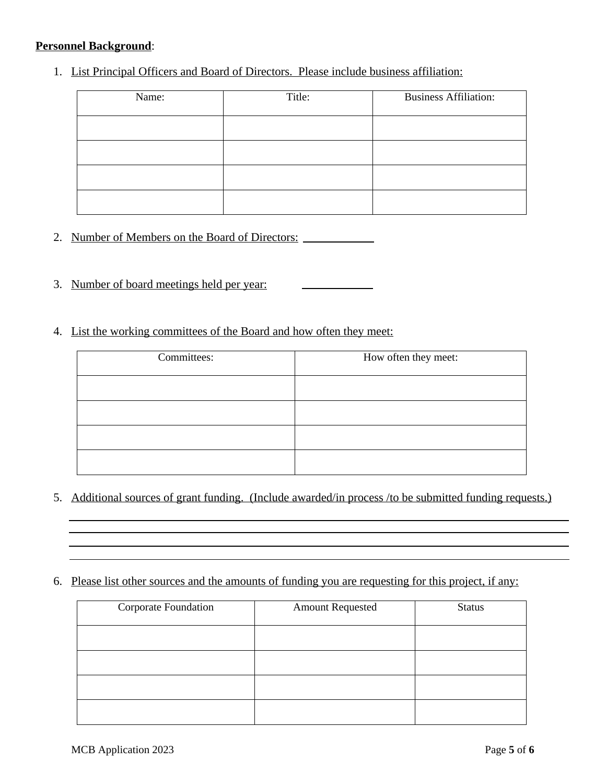#### **Personnel Background**:

1. List Principal Officers and Board of Directors. Please include business affiliation:

| Name: | Title: | <b>Business Affiliation:</b> |
|-------|--------|------------------------------|
|       |        |                              |
|       |        |                              |
|       |        |                              |
|       |        |                              |

- 2. Number of Members on the Board of Directors:
- 3. Number of board meetings held per year:
- 4. List the working committees of the Board and how often they meet:

| Committees: | How often they meet: |
|-------------|----------------------|
|             |                      |
|             |                      |
|             |                      |
|             |                      |

- 5. Additional sources of grant funding. (Include awarded/in process /to be submitted funding requests.)
- 6. Please list other sources and the amounts of funding you are requesting for this project, if any:

| Corporate Foundation | <b>Amount Requested</b> | <b>Status</b> |
|----------------------|-------------------------|---------------|
|                      |                         |               |
|                      |                         |               |
|                      |                         |               |
|                      |                         |               |